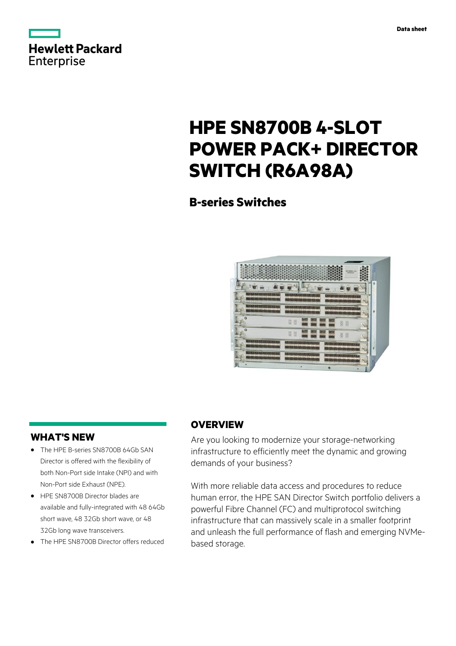

|            | <b>Hewlett Packard</b> |
|------------|------------------------|
| Enterprise |                        |

# **HPE SN8700B 4-SLOT POWER PACK+ DIRECTOR SWITCH (R6A98A)**

# **B-series Switches**



# **WHAT'S NEW**

- **·** The HPE B-series SN8700B 64Gb SAN Director is offered with the flexibility of both Non-Port side Intake (NPI) and with Non-Port side Exhaust (NPE).
- **·** HPE SN8700B Director blades are available and fully-integrated with 48 64Gb short wave, 48 32Gb short wave, or 48 32Gb long wave transceivers.
- **·** The HPE SN8700B Director offers reduced

# **OVERVIEW**

Are you looking to modernize your storage-networking infrastructure to efficiently meet the dynamic and growing demands of your business?

With more reliable data access and procedures to reduce human error, the HPE SAN Director Switch portfolio delivers a powerful Fibre Channel (FC) and multiprotocol switching infrastructure that can massively scale in a smaller footprint and unleash the full performance of flash and emerging NVMebased storage.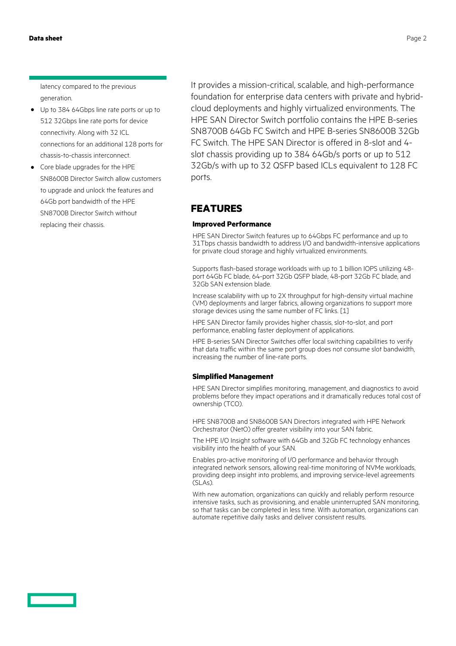latency compared to the previous generation.

- **·** Up to 384 64Gbps line rate ports or up to 512 32Gbps line rate ports for device connectivity. Along with 32 ICL connections for an additional 128 ports for chassis-to-chassis interconnect.
- **·** Core blade upgrades for the HPE SN8600B Director Switch allow customers to upgrade and unlock the features and 64Gb port bandwidth of the HPE SN8700B Director Switch without replacing their chassis.

It provides a mission-critical, scalable, and high-performance foundation for enterprise data centers with private and hybridcloud deployments and highly virtualized environments. The HPE SAN Director Switch portfolio contains the HPE B-series SN8700B 64Gb FC Switch and HPE B-series SN8600B 32Gb FC Switch. The HPE SAN Director is offered in 8-slot and 4 slot chassis providing up to 384 64Gb/s ports or up to 512 32Gb/s with up to 32 QSFP based ICLs equivalent to 128 FC ports.

# **FEATURES**

#### **Improved Performance**

HPE SAN Director Switch features up to 64Gbps FC performance and up to 31Tbps chassis bandwidth to address I/O and bandwidth-intensive applications for private cloud storage and highly virtualized environments.

Supports flash-based storage workloads with up to 1 billion IOPS utilizing 48 port 64Gb FC blade, 64-port 32Gb QSFP blade, 48-port 32Gb FC blade, and 32Gb SAN extension blade.

Increase scalability with up to 2X throughput for high-density virtual machine (VM) deployments and larger fabrics, allowing organizations to support more storage devices using the same number of FC links. [1]

HPE SAN Director family provides higher chassis, slot-to-slot, and port performance, enabling faster deployment of applications.

HPE B-series SAN Director Switches offer local switching capabilities to verify that data traffic within the same port group does not consume slot bandwidth, increasing the number of line-rate ports.

#### **Simplified Management**

HPE SAN Director simplifies monitoring, management, and diagnostics to avoid problems before they impact operations and it dramatically reduces total cost of ownership (TCO).

HPE SN8700B and SN8600B SAN Directors integrated with HPE Network Orchestrator (NetO) offer greater visibility into your SAN fabric.

The HPE I/O Insight software with 64Gb and 32Gb FC technology enhances visibility into the health of your SAN.

Enables pro-active monitoring of I/O performance and behavior through integrated network sensors, allowing real-time monitoring of NVMe workloads, providing deep insight into problems, and improving service-level agreements (SLAs).

With new automation, organizations can quickly and reliably perform resource intensive tasks, such as provisioning, and enable uninterrupted SAN monitoring, so that tasks can be completed in less time. With automation, organizations can automate repetitive daily tasks and deliver consistent results.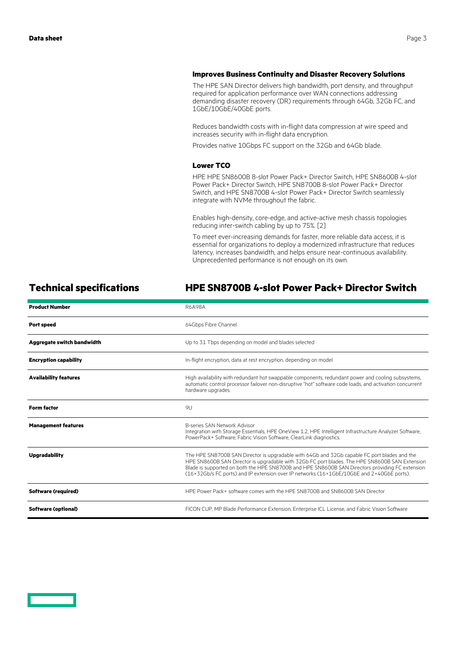#### **Improves Business Continuity and Disaster Recovery Solutions**

The HPE SAN Director delivers high bandwidth, port density, and throughput required for application performance over WAN connections addressing demanding disaster recovery (DR) requirements through 64Gb, 32Gb FC, and 1GbE/10GbE/40GbE ports.

Reduces bandwidth costs with in-flight data compression at wire speed and increases security with in-flight data encryption.

Provides native 10Gbps FC support on the 32Gb and 64Gb blade.

#### **Lower TCO**

HPE HPE SN8600B 8-slot Power Pack+ Director Switch, HPE SN8600B 4-slot Power Pack+ Director Switch, HPE SN8700B 8-slot Power Pack+ Director Switch, and HPE SN8700B 4-slot Power Pack+ Director Switch seamlessly integrate with NVMe throughout the fabric.

Enables high-density, core-edge, and active-active mesh chassis topologies reducing inter-switch cabling by up to 75%. [2]

To meet ever-increasing demands for faster, more reliable data access, it is essential for organizations to deploy a modernized infrastructure that reduces latency, increases bandwidth, and helps ensure near-continuous availability. Unprecedented performance is not enough on its own.

# **Technical specifications HPE SN8700B 4-slot Power Pack+ Director Switch**

| <b>Product Number</b>             | <b>R6A98A</b>                                                                                                                                                                                                                                                                                                                                                                                  |
|-----------------------------------|------------------------------------------------------------------------------------------------------------------------------------------------------------------------------------------------------------------------------------------------------------------------------------------------------------------------------------------------------------------------------------------------|
| Port speed                        | 64Gbps Fibre Channel                                                                                                                                                                                                                                                                                                                                                                           |
| <b>Aggregate switch bandwidth</b> | Up to 31 Tbps depending on model and blades selected                                                                                                                                                                                                                                                                                                                                           |
| <b>Encryption capability</b>      | In-flight encryption, data at rest encryption, depending on model                                                                                                                                                                                                                                                                                                                              |
| <b>Availability features</b>      | High availability with redundant hot swappable components, redundant power and cooling subsystems,<br>automatic control processor failover non-disruptive "hot" software code loads, and activation concurrent<br>hardware upgrades.                                                                                                                                                           |
| <b>Form factor</b>                | 9U                                                                                                                                                                                                                                                                                                                                                                                             |
| <b>Management features</b>        | B-series SAN Network Advisor<br>Integration with Storage Essentials, HPE OneView 1.2, HPE Intelligent Infrastructure Analyzer Software,<br>PowerPack+ Software, Fabric Vision Software, ClearLink diagnostics.                                                                                                                                                                                 |
| <b>Upgradability</b>              | The HPE SN8700B SAN Director is upgradable with 64Gb and 32Gb capable FC port blades and the<br>HPE SN8600B SAN Director is upgradable with 32Gb FC port blades. The HPE SN8600B SAN Extension<br>Blade is supported on both the HPE SN8700B and HPE SN8600B SAN Directors providing FC extension<br>(16×32Gb/s FC ports) and IP extension over IP networks (16×1GbE/10GbE and 2×40GbE ports). |
| <b>Software (required)</b>        | HPF Power Pack+ software comes with the HPF SN8700B and SN8600B SAN Director                                                                                                                                                                                                                                                                                                                   |
| <b>Software (optional)</b>        | FICON CUP, MP Blade Performance Extension, Enterprise ICL License, and Fabric Vision Software                                                                                                                                                                                                                                                                                                  |